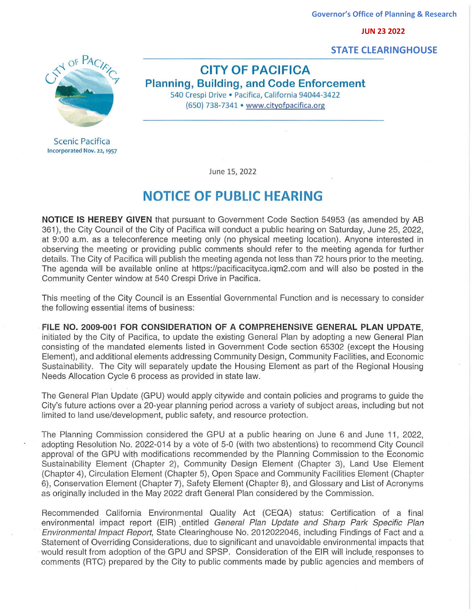**JUN 23 2022**

 **STATE CLEARINGHOUSE**



Scenic Pacifica Incorporated Nov. 22, 1957

**CITY OF PACIFICA Planning, Building, and Code Enforcement**  540 Crespi Drive · Pacifica, California 94044-3422 (650) 738-7341 • www.cityofpacifica.org

June 15, 2022

## **NOTICE OF PUBLIC HEARING**

**NOTICE IS HEREBY GIVEN** that pursuant to Government Code Section 54953 (as amended by AB 361), the City Council of the City of Pacifica will conduct a public hearing on Saturday, June 25, 2022, at 9:00 a.m. as a teleconference meeting only (no physical meeting location). Anyone interested in observing the meeting or providing public comments should refer to the meeting agenda for further details. The City of Pacifica will publish the meeting agenda not less than 72 hours prior to the meeting. The agenda will be available online at https://pacificacityca.igm2.com and will also be posted in the Community Center window at 540 Crespi Drive in Pacifica.

This meeting of the City Council is an Essential Governmental Function and is necessary to consider the following essential items of business:

**FILE NO. 2009-001 FOR CONSIDERATION OF A COMPREHENSIVE GENERAL PLAN UPDATE,**  initiated by the City of Pacifica, to update the existing General Plan by adopting a new General Plan consisting of the mandated elements listed in Government Code section 65302 (except the Housing Element), and additional elements addressing Community Design, Community Facilities, and Economic Sustainability. The City will separately update the Housing Element as part of the Regional Housing Needs Allocation Cycle 6 process as provided in state law.

The General Plan Update (GPU) would apply citywide and contain policies and programs to guide the City's future actions over a 20-year planning period across a variety of subject areas, including but not limited to land use/development, public safety, and resource protection.

The Planning Commission considered the GPU at a public hearing on June 6 and June 11, 2022, adopting Resolution No. 2022-014 by a vote of 5-0 (with two abstentions) to recommend City Council approval of the GPU with modifications recommended by the Planning Commission to the Economic Sustainability Element (Chapter 2), Community Design Element (Chapter 3), Land Use Element (Chapter 4), Circulation Element (Chapter 5), Open Space and Community Facilities Element (Chapter 6), Conservation Element (Chapter 7), Safety Element (Chapter 8), and Glossary and List of Acronyms as originally included in the May 2022 draft General Plan considered by the Commission. Comments (Research 1972)<br>
CITY OF PACIFICA STATE CLEARINGHOUSE<br>
MA 32 3022<br>
Second to public complete and members (Second)<br>
Second 1973-7341 www.dthested.com<br>
Second 1974 and Comments made by public agencies and members of

Recommended California Environmental Quality Act (CEQA) status: Certification of a final environmental impact report (EIR) entitled General Plan Update and Sharp Park Specific Plan Environmental Impact Report, State Clearinghouse No. 2012022046, including Findings of Fact and a Statement of Overriding Considerations, due to significant and unavoidable environmental impacts that would result from adoption of the GPU and SPSP. Consideration of the EIR will include responses to